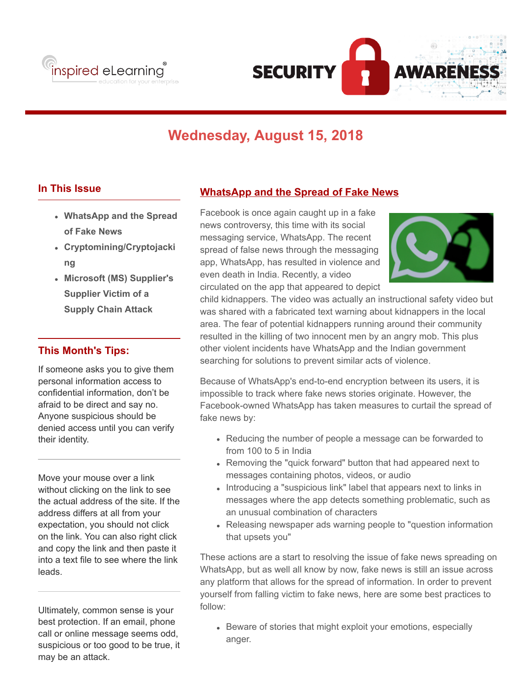



# **Wednesday, August 15, 2018**

#### **In This Issue**

- **WhatsApp and the Spread of Fake News**
- **Cryptomining/Cryptojacki ng**
- **Microsoft (MS) Supplier's Supplier Victim of a Supply Chain Attack**

### **This Month's Tips:**

If someone asks you to give them personal information access to confidential information, don't be afraid to be direct and say no. Anyone suspicious should be denied access until you can verify their identity.

Move your mouse over a link without clicking on the link to see the actual address of the site. If the address differs at all from your expectation, you should not click on the link. You can also right click and copy the link and then paste it into a text file to see where the link leads.

Ultimately, common sense is your best protection. If an email, phone call or online message seems odd, suspicious or too good to be true, it may be an attack.

### **WhatsApp and the Spread of Fake News**

Facebook is once again caught up in a fake news controversy, this time with its social messaging service, WhatsApp. The recent spread of false news through the messaging app, WhatsApp, has resulted in violence and even death in India. Recently, a video circulated on the app that appeared to depict



child kidnappers. The video was actually an instructional safety video but was shared with a fabricated text warning about kidnappers in the local area. The fear of potential kidnappers running around their community resulted in the killing of two innocent men by an angry mob. This plus other violent incidents have WhatsApp and the Indian government searching for solutions to prevent similar acts of violence.

Because of WhatsApp's end-to-end encryption between its users, it is impossible to track where fake news stories originate. However, the Facebook-owned WhatsApp has taken measures to curtail the spread of fake news by:

- Reducing the number of people a message can be forwarded to from 100 to 5 in India
- Removing the "quick forward" button that had appeared next to messages containing photos, videos, or audio
- Introducing a "suspicious link" label that appears next to links in messages where the app detects something problematic, such as an unusual combination of characters
- Releasing newspaper ads warning people to "question information that upsets you"

These actions are a start to resolving the issue of fake news spreading on WhatsApp, but as well all know by now, fake news is still an issue across any platform that allows for the spread of information. In order to prevent yourself from falling victim to fake news, here are some best practices to follow:

• Beware of stories that might exploit your emotions, especially anger.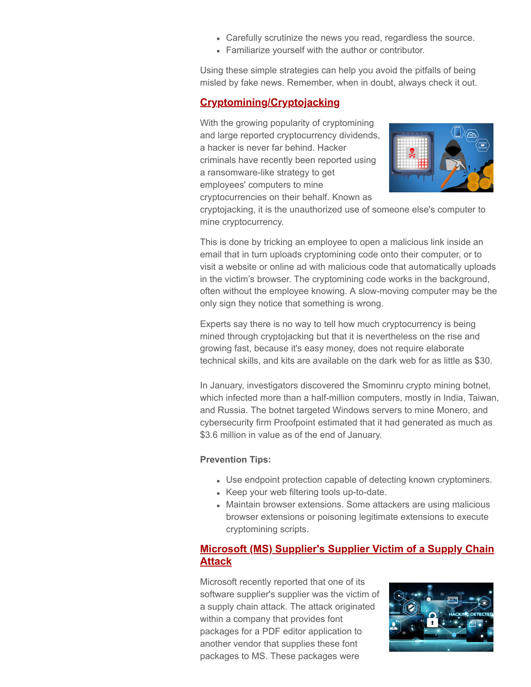- Carefully scrutinize the news you read, regardless the source.
- Familiarize yourself with the author or contributor.

Using these simple strategies can help you avoid the pitfalls of being misled by fake news. Remember, when in doubt, always check it out.

## **Cryptomining/Cryptojacking**

With the growing popularity of cryptomining and large reported cryptocurrency dividends, a hacker is never far behind. Hacker criminals have recently been reported using a ransomware-like strategy to get employees' computers to mine cryptocurrencies on their behalf. Known as



cryptojacking, it is the unauthorized use of someone else's computer to mine cryptocurrency.

This is done by tricking an employee to open a malicious link inside an email that in turn uploads cryptomining code onto their computer, or to visit a website or online ad with malicious code that automatically uploads in the victim's browser. The cryptomining code works in the background, often without the employee knowing. A slow-moving computer may be the only sign they notice that something is wrong.

Experts say there is no way to tell how much cryptocurrency is being mined through cryptojacking but that it is nevertheless on the rise and growing fast, because it's easy money, does not require elaborate technical skills, and kits are available on the dark web for as little as \$30.

In January, investigators discovered the Smominru crypto mining botnet, which infected more than a half-million computers, mostly in India, Taiwan, and Russia. The botnet targeted Windows servers to mine Monero, and cybersecurity firm Proofpoint estimated that it had generated as much as \$3.6 million in value as of the end of January.

#### **Prevention Tips:**

- Use endpoint protection capable of detecting known cryptominers.
- Keep your web filtering tools up-to-date.
- Maintain browser extensions. Some attackers are using malicious browser extensions or poisoning legitimate extensions to execute cryptomining scripts.

### **Microsoft (MS) Supplier's Supplier Victim of a Supply Chain Attack**

Microsoft recently reported that one of its software supplier's supplier was the victim of a supply chain attack. The attack originated within a company that provides font packages for a PDF editor application to another vendor that supplies these font packages to MS. These packages were